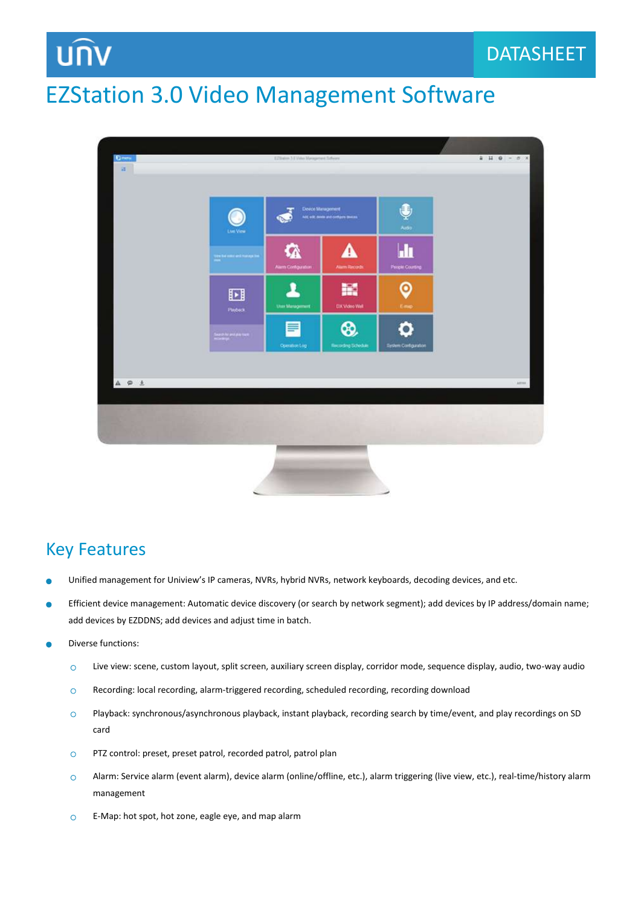### EZStation 3.0 Video Management Software



#### Key Features

- Unified management for Uniview's IP cameras, NVRs, hybrid NVRs, network keyboards, decoding devices, and etc.
- ò Efficient device management: Automatic device discovery (or search by network segment); add devices by IP address/domain name; add devices by EZDDNS; add devices and adjust time in batch.
- Diverse functions:
	- Live view: scene, custom layout, split screen, auxiliary screen display, corridor mode, sequence display, audio, two-way audio  $\circ$
	- Recording: local recording, alarm-triggered recording, scheduled recording, recording download  $\circ$
	- Playback: synchronous/asynchronous playback, instant playback, recording search by time/event, and play recordings on SD  $\Omega$ card
	- PTZ control: preset, preset patrol, recorded patrol, patrol plan  $\circ$
	- Alarm: Service alarm (event alarm), device alarm (online/offline, etc.), alarm triggering (live view, etc.), real-time/history alarm  $\Omega$ management
	- E-Map: hot spot, hot zone, eagle eye, and map alarm $\circ$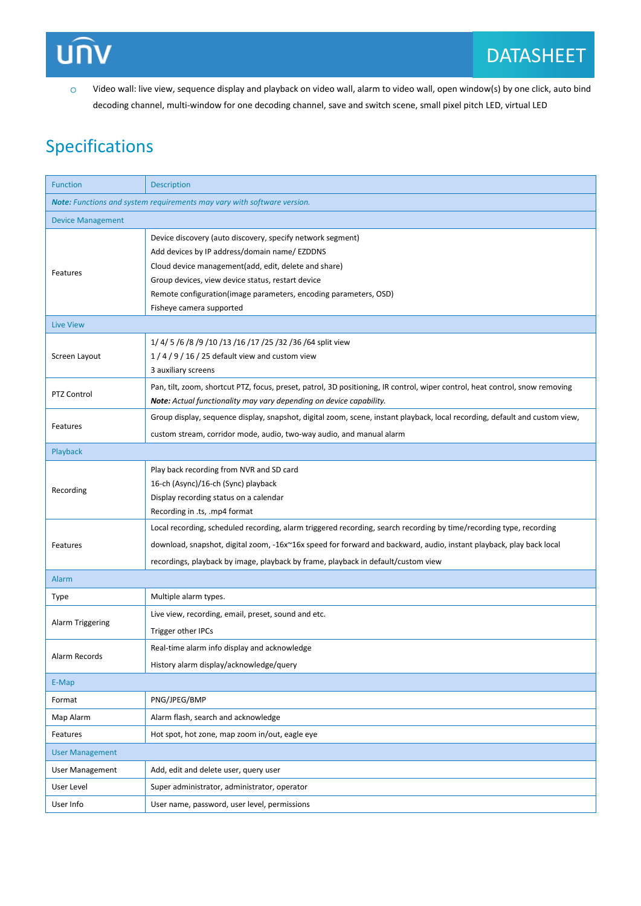# **UNV**

Video wall: live view, sequence display and playback on video wall, alarm to video wall, open window(s) by one click, auto bind  $\circ$ decoding channel, multi-window for one decoding channel, save and switch scene, small pixel pitch LED, virtual LED

#### Specifications

| <b>Function</b>                                                         | <b>Description</b>                                                                                                                                                                                                                                                                                                              |  |
|-------------------------------------------------------------------------|---------------------------------------------------------------------------------------------------------------------------------------------------------------------------------------------------------------------------------------------------------------------------------------------------------------------------------|--|
| Note: Functions and system requirements may vary with software version. |                                                                                                                                                                                                                                                                                                                                 |  |
| <b>Device Management</b>                                                |                                                                                                                                                                                                                                                                                                                                 |  |
| Features                                                                | Device discovery (auto discovery, specify network segment)<br>Add devices by IP address/domain name/ EZDDNS<br>Cloud device management(add, edit, delete and share)<br>Group devices, view device status, restart device<br>Remote configuration (image parameters, encoding parameters, OSD)                                   |  |
|                                                                         | Fisheye camera supported                                                                                                                                                                                                                                                                                                        |  |
| <b>Live View</b><br>Screen Layout                                       | 1/ 4/ 5 /6 /8 /9 /10 /13 /16 /17 /25 /32 /36 /64 split view<br>$1/4/9/16/25$ default view and custom view<br>3 auxiliary screens                                                                                                                                                                                                |  |
| PTZ Control                                                             | Pan, tilt, zoom, shortcut PTZ, focus, preset, patrol, 3D positioning, IR control, wiper control, heat control, snow removing<br>Note: Actual functionality may vary depending on device capability.                                                                                                                             |  |
| Features                                                                | Group display, sequence display, snapshot, digital zoom, scene, instant playback, local recording, default and custom view,<br>custom stream, corridor mode, audio, two-way audio, and manual alarm                                                                                                                             |  |
| Playback                                                                |                                                                                                                                                                                                                                                                                                                                 |  |
| Recording                                                               | Play back recording from NVR and SD card<br>16-ch (Async)/16-ch (Sync) playback<br>Display recording status on a calendar<br>Recording in .ts, .mp4 format                                                                                                                                                                      |  |
| Features                                                                | Local recording, scheduled recording, alarm triggered recording, search recording by time/recording type, recording<br>download, snapshot, digital zoom, -16x~16x speed for forward and backward, audio, instant playback, play back local<br>recordings, playback by image, playback by frame, playback in default/custom view |  |
| <b>Alarm</b>                                                            |                                                                                                                                                                                                                                                                                                                                 |  |
| Type                                                                    | Multiple alarm types.                                                                                                                                                                                                                                                                                                           |  |
| <b>Alarm Triggering</b>                                                 | Live view, recording, email, preset, sound and etc.<br>Trigger other IPCs                                                                                                                                                                                                                                                       |  |
| Alarm Records                                                           | Real-time alarm info display and acknowledge<br>History alarm display/acknowledge/query                                                                                                                                                                                                                                         |  |
| E-Map                                                                   |                                                                                                                                                                                                                                                                                                                                 |  |
| Format                                                                  | PNG/JPEG/BMP                                                                                                                                                                                                                                                                                                                    |  |
| Map Alarm                                                               | Alarm flash, search and acknowledge                                                                                                                                                                                                                                                                                             |  |
| Features                                                                | Hot spot, hot zone, map zoom in/out, eagle eye                                                                                                                                                                                                                                                                                  |  |
| <b>User Management</b>                                                  |                                                                                                                                                                                                                                                                                                                                 |  |
| <b>User Management</b>                                                  | Add, edit and delete user, query user                                                                                                                                                                                                                                                                                           |  |
| User Level                                                              | Super administrator, administrator, operator                                                                                                                                                                                                                                                                                    |  |
| User Info                                                               | User name, password, user level, permissions                                                                                                                                                                                                                                                                                    |  |